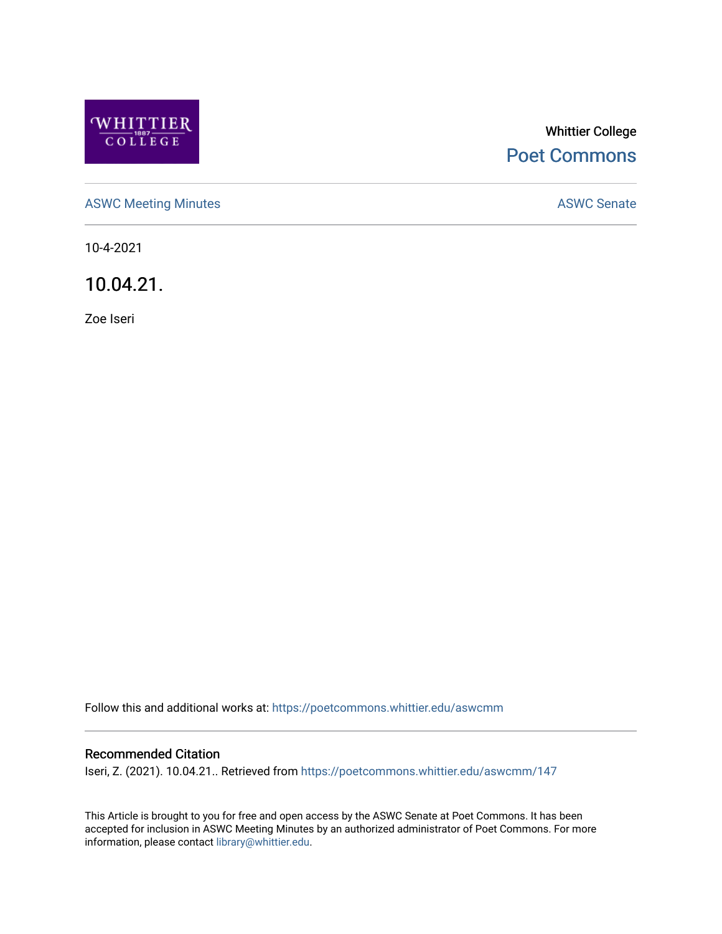

# Whittier College [Poet Commons](https://poetcommons.whittier.edu/)

[ASWC Meeting Minutes](https://poetcommons.whittier.edu/aswcmm) **ASWC Senate** 

10-4-2021

10.04.21.

Zoe Iseri

Follow this and additional works at: [https://poetcommons.whittier.edu/aswcmm](https://poetcommons.whittier.edu/aswcmm?utm_source=poetcommons.whittier.edu%2Faswcmm%2F147&utm_medium=PDF&utm_campaign=PDFCoverPages)

#### Recommended Citation

Iseri, Z. (2021). 10.04.21.. Retrieved from [https://poetcommons.whittier.edu/aswcmm/147](https://poetcommons.whittier.edu/aswcmm/147?utm_source=poetcommons.whittier.edu%2Faswcmm%2F147&utm_medium=PDF&utm_campaign=PDFCoverPages) 

This Article is brought to you for free and open access by the ASWC Senate at Poet Commons. It has been accepted for inclusion in ASWC Meeting Minutes by an authorized administrator of Poet Commons. For more information, please contact [library@whittier.edu.](mailto:library@whittier.edu)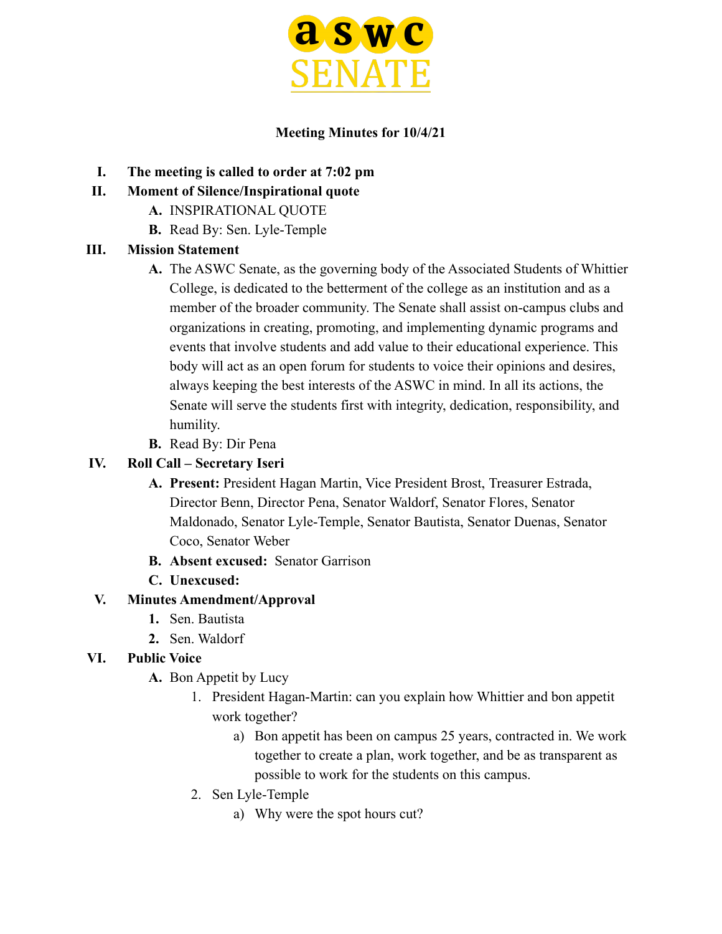

### **Meeting Minutes for 10/4/21**

- **I. The meeting is called to order at 7:02 pm**
- **II. Moment of Silence/Inspirational quote**
	- **A.** INSPIRATIONAL QUOTE
	- **B.** Read By: Sen. Lyle-Temple

### **III. Mission Statement**

- **A.** The ASWC Senate, as the governing body of the Associated Students of Whittier College, is dedicated to the betterment of the college as an institution and as a member of the broader community. The Senate shall assist on-campus clubs and organizations in creating, promoting, and implementing dynamic programs and events that involve students and add value to their educational experience. This body will act as an open forum for students to voice their opinions and desires, always keeping the best interests of the ASWC in mind. In all its actions, the Senate will serve the students first with integrity, dedication, responsibility, and humility.
- **B.** Read By: Dir Pena

### **IV. Roll Call – Secretary Iseri**

- **A. Present:** President Hagan Martin, Vice President Brost, Treasurer Estrada, Director Benn, Director Pena, Senator Waldorf, Senator Flores, Senator Maldonado, Senator Lyle-Temple, Senator Bautista, Senator Duenas, Senator Coco, Senator Weber
- **B. Absent excused:** Senator Garrison
- **C. Unexcused:**

### **V. Minutes Amendment/Approval**

- **1.** Sen. Bautista
- **2.** Sen. Waldorf

# **VI. Public Voice**

- **A.** Bon Appetit by Lucy
	- 1. President Hagan-Martin: can you explain how Whittier and bon appetit work together?
		- a) Bon appetit has been on campus 25 years, contracted in. We work together to create a plan, work together, and be as transparent as possible to work for the students on this campus.
	- 2. Sen Lyle-Temple
		- a) Why were the spot hours cut?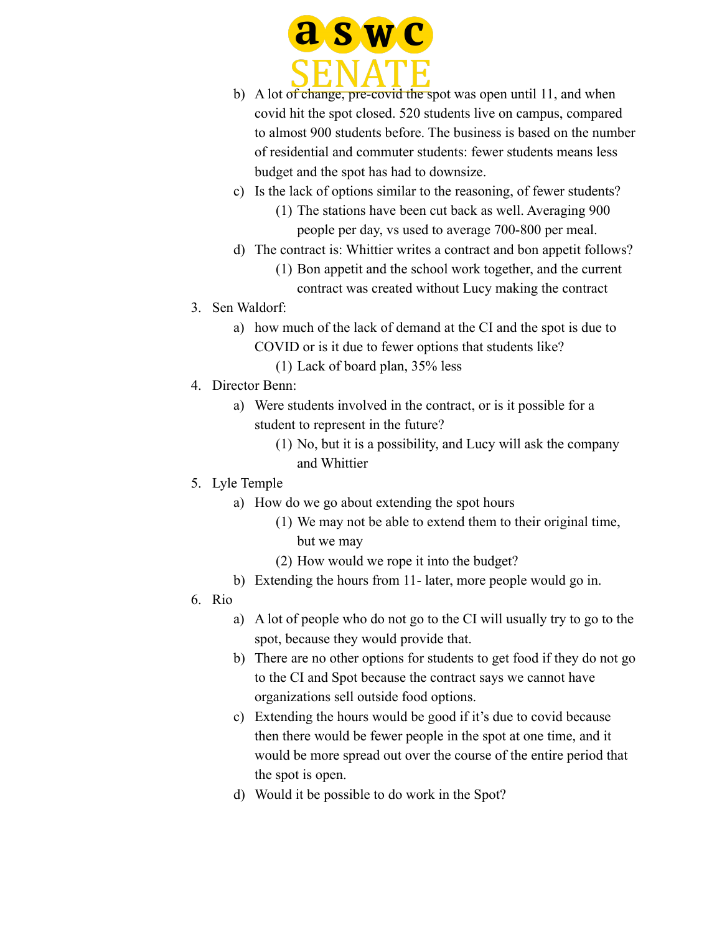

- b) A lot of change, pre-covid the spot was open until 11, and when covid hit the spot closed. 520 students live on campus, compared to almost 900 students before. The business is based on the number of residential and commuter students: fewer students means less budget and the spot has had to downsize.
- c) Is the lack of options similar to the reasoning, of fewer students? (1) The stations have been cut back as well. Averaging 900 people per day, vs used to average 700-800 per meal.
- d) The contract is: Whittier writes a contract and bon appetit follows?
	- (1) Bon appetit and the school work together, and the current contract was created without Lucy making the contract
- 3. Sen Waldorf:
	- a) how much of the lack of demand at the CI and the spot is due to COVID or is it due to fewer options that students like?
		- (1) Lack of board plan, 35% less
- 4. Director Benn:
	- a) Were students involved in the contract, or is it possible for a student to represent in the future?
		- (1) No, but it is a possibility, and Lucy will ask the company and Whittier
- 5. Lyle Temple
	- a) How do we go about extending the spot hours
		- (1) We may not be able to extend them to their original time, but we may
		- (2) How would we rope it into the budget?
	- b) Extending the hours from 11- later, more people would go in.
- 6. Rio
	- a) A lot of people who do not go to the CI will usually try to go to the spot, because they would provide that.
	- b) There are no other options for students to get food if they do not go to the CI and Spot because the contract says we cannot have organizations sell outside food options.
	- c) Extending the hours would be good if it's due to covid because then there would be fewer people in the spot at one time, and it would be more spread out over the course of the entire period that the spot is open.
	- d) Would it be possible to do work in the Spot?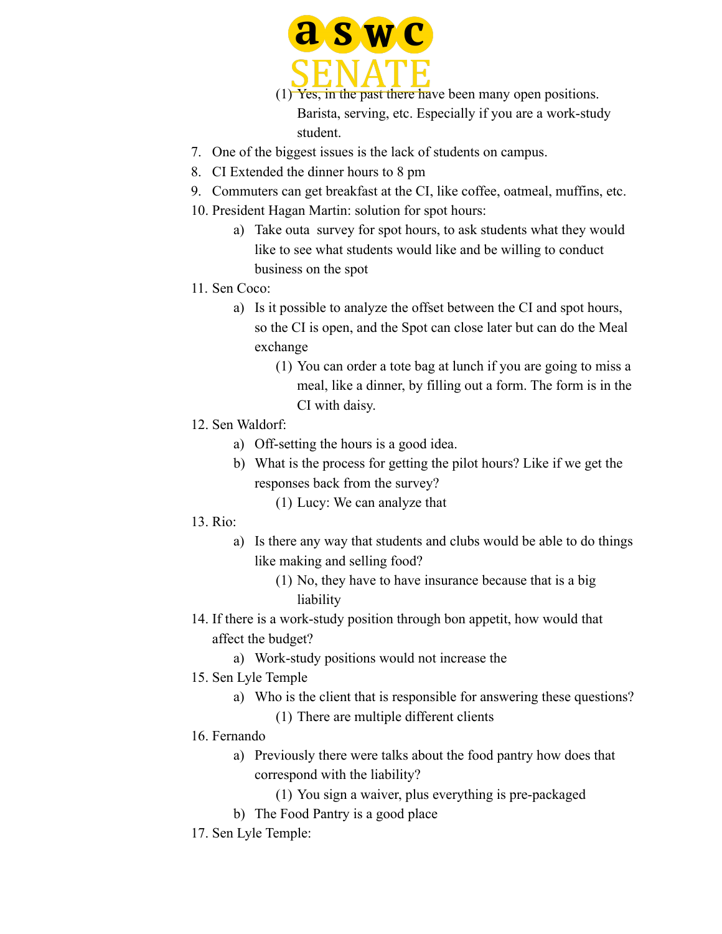

(1) Yes, in the past there have been many open positions. Barista, serving, etc. Especially if you are a work-study student.

- 7. One of the biggest issues is the lack of students on campus.
- 8. CI Extended the dinner hours to 8 pm
- 9. Commuters can get breakfast at the CI, like coffee, oatmeal, muffins, etc.
- 10. President Hagan Martin: solution for spot hours:
	- a) Take outa survey for spot hours, to ask students what they would like to see what students would like and be willing to conduct business on the spot
- 11. Sen Coco:
	- a) Is it possible to analyze the offset between the CI and spot hours, so the CI is open, and the Spot can close later but can do the Meal exchange
		- (1) You can order a tote bag at lunch if you are going to miss a meal, like a dinner, by filling out a form. The form is in the CI with daisy.
- 12. Sen Waldorf:
	- a) Off-setting the hours is a good idea.
	- b) What is the process for getting the pilot hours? Like if we get the responses back from the survey?
		- (1) Lucy: We can analyze that
- $13$ . Rio:
	- a) Is there any way that students and clubs would be able to do things like making and selling food?
		- (1) No, they have to have insurance because that is a big liability
- 14. If there is a work-study position through bon appetit, how would that affect the budget?
	- a) Work-study positions would not increase the
- 15. Sen Lyle Temple
	- a) Who is the client that is responsible for answering these questions?
		- (1) There are multiple different clients
- 16. Fernando
	- a) Previously there were talks about the food pantry how does that correspond with the liability?
		- (1) You sign a waiver, plus everything is pre-packaged
	- b) The Food Pantry is a good place
- 17. Sen Lyle Temple: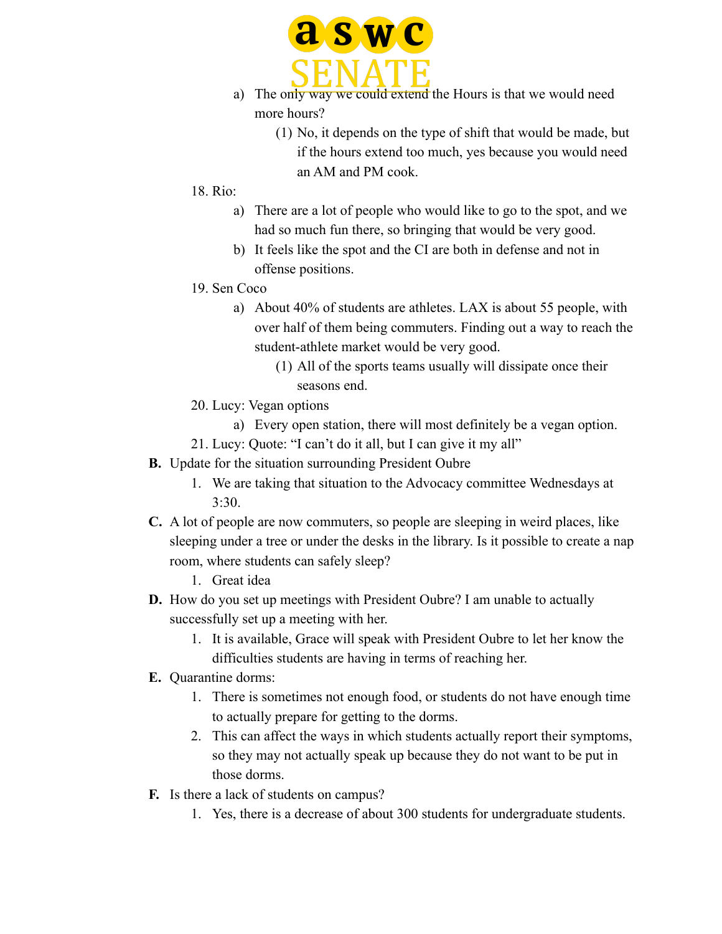

- a) The only way we could extend the Hours is that we would need more hours?
	- (1) No, it depends on the type of shift that would be made, but if the hours extend too much, yes because you would need an AM and PM cook.
- $18$ . Rio:
	- a) There are a lot of people who would like to go to the spot, and we had so much fun there, so bringing that would be very good.
	- b) It feels like the spot and the CI are both in defense and not in offense positions.
- 19. Sen Coco
	- a) About 40% of students are athletes. LAX is about 55 people, with over half of them being commuters. Finding out a way to reach the student-athlete market would be very good.
		- (1) All of the sports teams usually will dissipate once their seasons end.
- 20. Lucy: Vegan options
	- a) Every open station, there will most definitely be a vegan option.
- 21. Lucy: Quote: "I can't do it all, but I can give it my all"
- **B.** Update for the situation surrounding President Oubre
	- 1. We are taking that situation to the Advocacy committee Wednesdays at 3:30.
- **C.** A lot of people are now commuters, so people are sleeping in weird places, like sleeping under a tree or under the desks in the library. Is it possible to create a nap room, where students can safely sleep?
	- 1. Great idea
- **D.** How do you set up meetings with President Oubre? I am unable to actually successfully set up a meeting with her.
	- 1. It is available, Grace will speak with President Oubre to let her know the difficulties students are having in terms of reaching her.
- **E.** Quarantine dorms:
	- 1. There is sometimes not enough food, or students do not have enough time to actually prepare for getting to the dorms.
	- 2. This can affect the ways in which students actually report their symptoms, so they may not actually speak up because they do not want to be put in those dorms.
- **F.** Is there a lack of students on campus?
	- 1. Yes, there is a decrease of about 300 students for undergraduate students.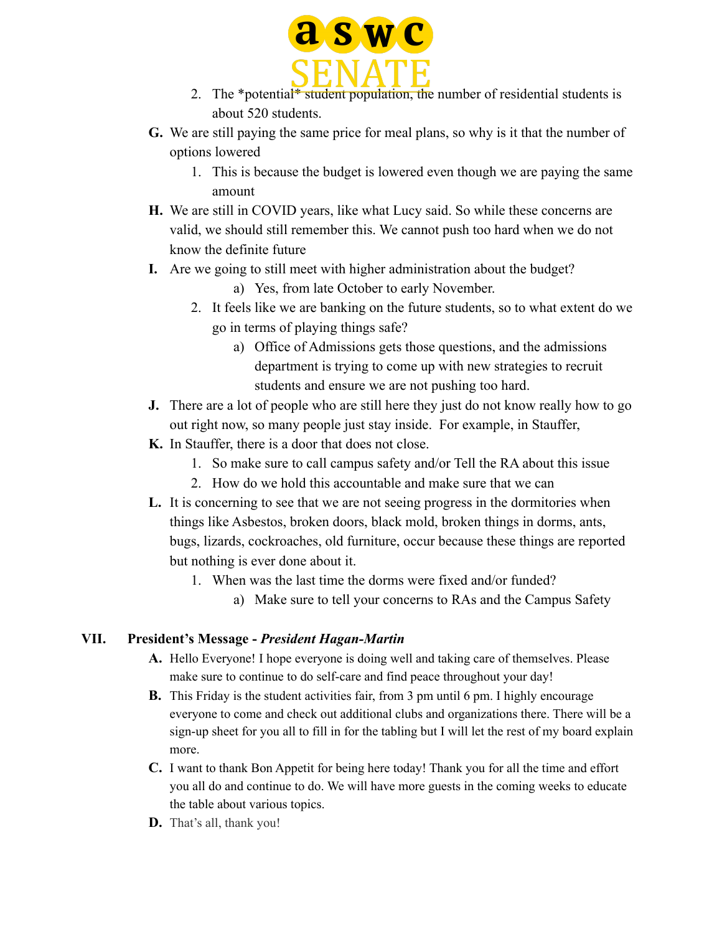

- 2. The \*potential\* student population, the number of residential students is about 520 students.
- **G.** We are still paying the same price for meal plans, so why is it that the number of options lowered
	- 1. This is because the budget is lowered even though we are paying the same amount
- **H.** We are still in COVID years, like what Lucy said. So while these concerns are valid, we should still remember this. We cannot push too hard when we do not know the definite future
- **I.** Are we going to still meet with higher administration about the budget?
	- a) Yes, from late October to early November.
	- 2. It feels like we are banking on the future students, so to what extent do we go in terms of playing things safe?
		- a) Office of Admissions gets those questions, and the admissions department is trying to come up with new strategies to recruit students and ensure we are not pushing too hard.
- **J.** There are a lot of people who are still here they just do not know really how to go out right now, so many people just stay inside. For example, in Stauffer,
- **K.** In Stauffer, there is a door that does not close.
	- 1. So make sure to call campus safety and/or Tell the RA about this issue
	- 2. How do we hold this accountable and make sure that we can
- **L.** It is concerning to see that we are not seeing progress in the dormitories when things like Asbestos, broken doors, black mold, broken things in dorms, ants, bugs, lizards, cockroaches, old furniture, occur because these things are reported but nothing is ever done about it.
	- 1. When was the last time the dorms were fixed and/or funded?
		- a) Make sure to tell your concerns to RAs and the Campus Safety

#### **VII. President's Message -** *President Hagan-Martin*

- **A.** Hello Everyone! I hope everyone is doing well and taking care of themselves. Please make sure to continue to do self-care and find peace throughout your day!
- **B.** This Friday is the student activities fair, from 3 pm until 6 pm. I highly encourage everyone to come and check out additional clubs and organizations there. There will be a sign-up sheet for you all to fill in for the tabling but I will let the rest of my board explain more.
- **C.** I want to thank Bon Appetit for being here today! Thank you for all the time and effort you all do and continue to do. We will have more guests in the coming weeks to educate the table about various topics.
- **D.** That's all, thank you!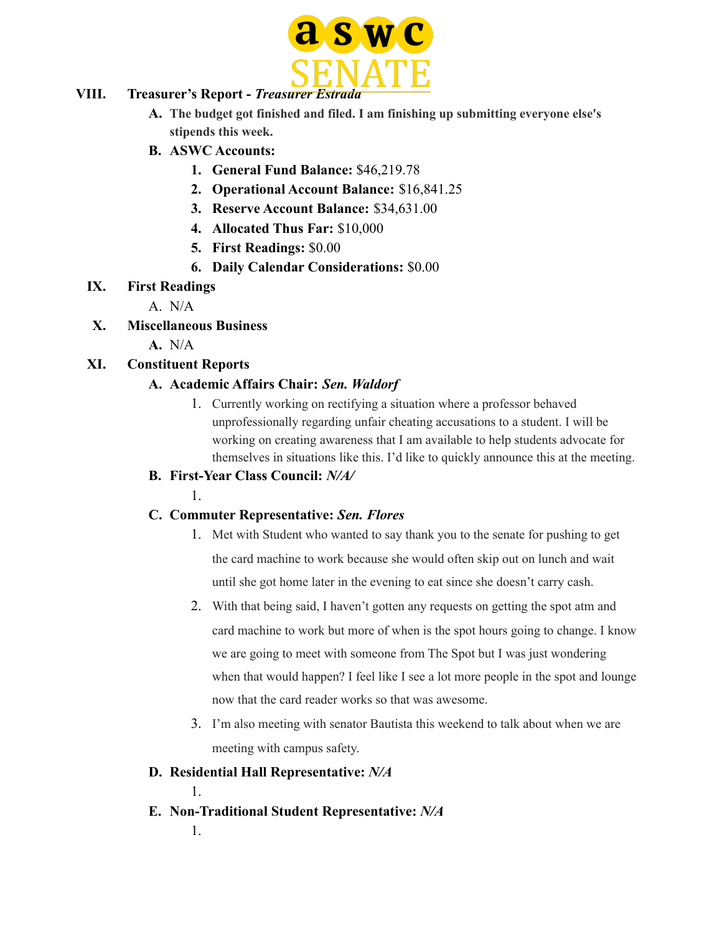

#### **VIII. Treasurer's Report -** *Treasurer Estrada*

- **A. The budget got finished and filed. I am finishing up submitting everyone else's stipends this week.**
- **B. ASWC Accounts:**
	- **1. General Fund Balance:** \$46,219.78
	- **2. Operational Account Balance:** \$16,841.25
	- **3. Reserve Account Balance:** \$34,631.00
	- **4. Allocated Thus Far:** \$10,000
	- **5. First Readings:** \$0.00
	- **6. Daily Calendar Considerations:** \$0.00

#### **IX. First Readings**

- A. N/A
- **X. Miscellaneous Business**
	- **A.** N/A

# **XI. Constituent Reports**

### **A. Academic Affairs Chair:** *Sen. Waldorf*

1. Currently working on rectifying a situation where a professor behaved unprofessionally regarding unfair cheating accusations to a student. I will be working on creating awareness that I am available to help students advocate for themselves in situations like this. I'd like to quickly announce this at the meeting.

### **B. First-Year Class Council:** *N/A/*

1.

### **C. Commuter Representative:** *Sen. Flores*

- 1. Met with Student who wanted to say thank you to the senate for pushing to get the card machine to work because she would often skip out on lunch and wait until she got home later in the evening to eat since she doesn't carry cash.
- 2. With that being said, I haven't gotten any requests on getting the spot atm and card machine to work but more of when is the spot hours going to change. I know we are going to meet with someone from The Spot but I was just wondering when that would happen? I feel like I see a lot more people in the spot and lounge now that the card reader works so that was awesome.
- 3. I'm also meeting with senator Bautista this weekend to talk about when we are meeting with campus safety.

### **D. Residential Hall Representative:** *N/A*

1.

**E. Non-Traditional Student Representative:** *N/A*

1.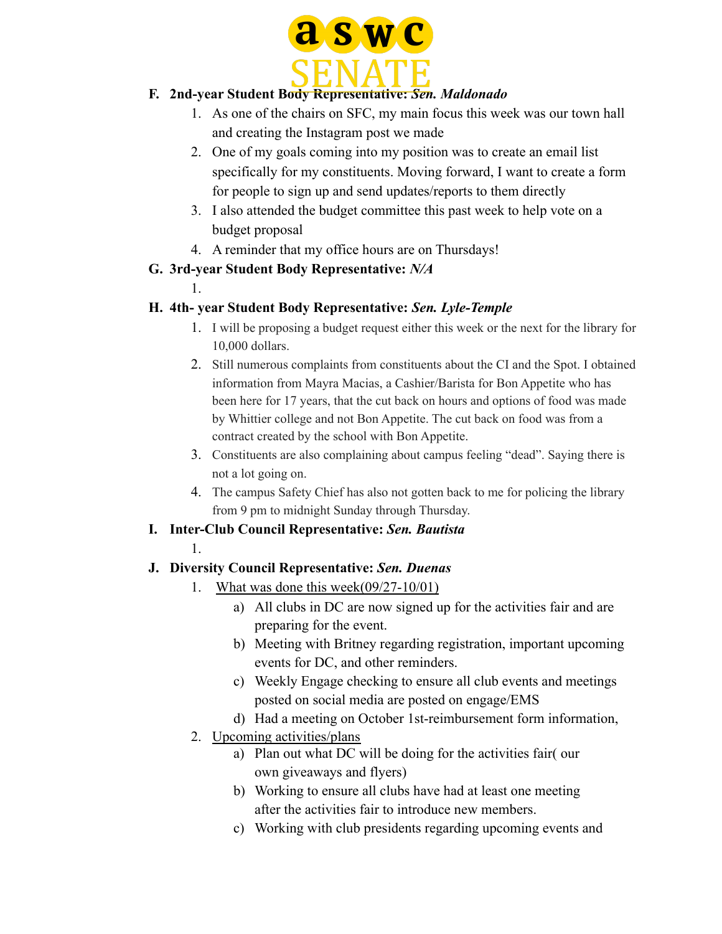

# **F. 2nd-year Student Body Representative:** *Sen. Maldonado*

- 1. As one of the chairs on SFC, my main focus this week was our town hall and creating the Instagram post we made
- 2. One of my goals coming into my position was to create an email list specifically for my constituents. Moving forward, I want to create a form for people to sign up and send updates/reports to them directly
- 3. I also attended the budget committee this past week to help vote on a budget proposal
- 4. A reminder that my office hours are on Thursdays!

# **G. 3rd-year Student Body Representative:** *N/A*

1.

# **H. 4th- year Student Body Representative:** *Sen. Lyle-Temple*

- 1. I will be proposing a budget request either this week or the next for the library for 10,000 dollars.
- 2. Still numerous complaints from constituents about the CI and the Spot. I obtained information from Mayra Macias, a Cashier/Barista for Bon Appetite who has been here for 17 years, that the cut back on hours and options of food was made by Whittier college and not Bon Appetite. The cut back on food was from a contract created by the school with Bon Appetite.
- 3. Constituents are also complaining about campus feeling "dead". Saying there is not a lot going on.
- 4. The campus Safety Chief has also not gotten back to me for policing the library from 9 pm to midnight Sunday through Thursday.

# **I. Inter-Club Council Representative:** *Sen. Bautista*

### 1.

# **J. Diversity Council Representative:** *Sen. Duenas*

- 1. What was done this week(09/27-10/01)
	- a) All clubs in DC are now signed up for the activities fair and are preparing for the event.
	- b) Meeting with Britney regarding registration, important upcoming events for DC, and other reminders.
	- c) Weekly Engage checking to ensure all club events and meetings posted on social media are posted on engage/EMS
	- d) Had a meeting on October 1st-reimbursement form information,
- 2. Upcoming activities/plans
	- a) Plan out what DC will be doing for the activities fair( our own giveaways and flyers)
	- b) Working to ensure all clubs have had at least one meeting after the activities fair to introduce new members.
	- c) Working with club presidents regarding upcoming events and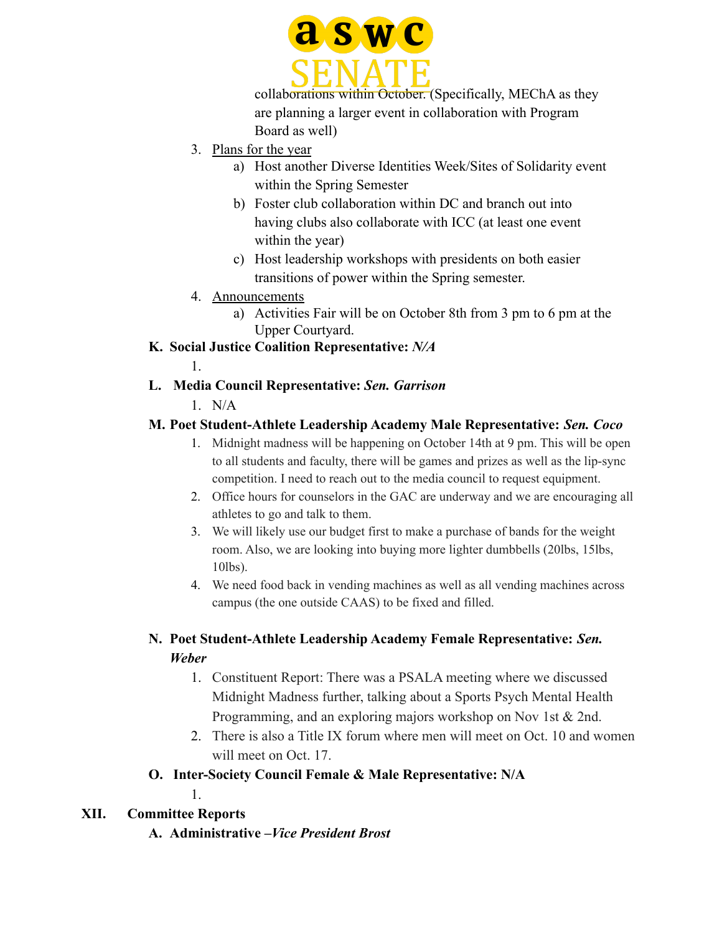

collaborations within October. (Specifically, MEChA as they are planning a larger event in collaboration with Program Board as well)

- 3. Plans for the year
	- a) Host another Diverse Identities Week/Sites of Solidarity event within the Spring Semester
	- b) Foster club collaboration within DC and branch out into having clubs also collaborate with ICC (at least one event within the year)
	- c) Host leadership workshops with presidents on both easier transitions of power within the Spring semester.
- 4. Announcements
	- a) Activities Fair will be on October 8th from 3 pm to 6 pm at the Upper Courtyard.
- **K. Social Justice Coalition Representative:** *N/A*

1.

# **L. Media Council Representative:** *Sen. Garrison*

 $1$  N/A

# **M. Poet Student-Athlete Leadership Academy Male Representative:** *Sen. Coco*

- 1. Midnight madness will be happening on October 14th at 9 pm. This will be open to all students and faculty, there will be games and prizes as well as the lip-sync competition. I need to reach out to the media council to request equipment.
- 2. Office hours for counselors in the GAC are underway and we are encouraging all athletes to go and talk to them.
- 3. We will likely use our budget first to make a purchase of bands for the weight room. Also, we are looking into buying more lighter dumbbells (20lbs, 15lbs, 10lbs).
- 4. We need food back in vending machines as well as all vending machines across campus (the one outside CAAS) to be fixed and filled.

# **N. Poet Student-Athlete Leadership Academy Female Representative:** *Sen. Weber*

- 1. Constituent Report: There was a PSALA meeting where we discussed Midnight Madness further, talking about a Sports Psych Mental Health Programming, and an exploring majors workshop on Nov 1st & 2nd.
- 2. There is also a Title IX forum where men will meet on Oct. 10 and women will meet on Oct. 17.

# **O. Inter-Society Council Female & Male Representative: N/A**

1.

# **XII. Committee Reports**

**A. Administrative –***Vice President Brost*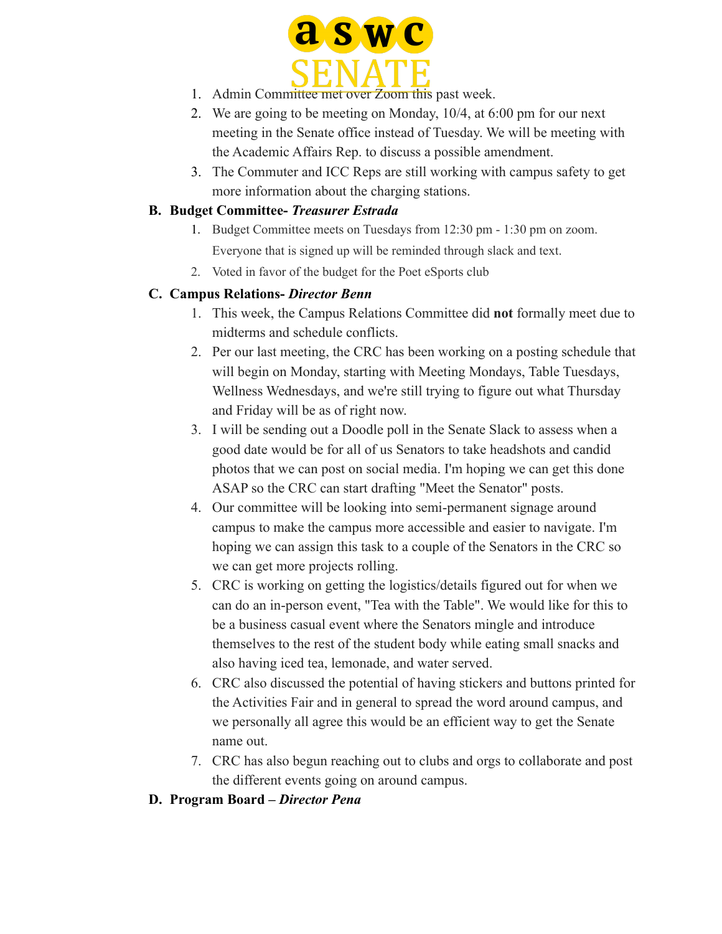

- 1. Admin Committee met over Zoom this past week.
- 2. We are going to be meeting on Monday, 10/4, at 6:00 pm for our next meeting in the Senate office instead of Tuesday. We will be meeting with the Academic Affairs Rep. to discuss a possible amendment.
- 3. The Commuter and ICC Reps are still working with campus safety to get more information about the charging stations.

#### **B. Budget Committee-** *Treasurer Estrada*

- 1. Budget Committee meets on Tuesdays from 12:30 pm 1:30 pm on zoom. Everyone that is signed up will be reminded through slack and text.
- 2. Voted in favor of the budget for the Poet eSports club

### **C. Campus Relations-** *Director Benn*

- 1. This week, the Campus Relations Committee did **not** formally meet due to midterms and schedule conflicts.
- 2. Per our last meeting, the CRC has been working on a posting schedule that will begin on Monday, starting with Meeting Mondays, Table Tuesdays, Wellness Wednesdays, and we're still trying to figure out what Thursday and Friday will be as of right now.
- 3. I will be sending out a Doodle poll in the Senate Slack to assess when a good date would be for all of us Senators to take headshots and candid photos that we can post on social media. I'm hoping we can get this done ASAP so the CRC can start drafting "Meet the Senator" posts.
- 4. Our committee will be looking into semi-permanent signage around campus to make the campus more accessible and easier to navigate. I'm hoping we can assign this task to a couple of the Senators in the CRC so we can get more projects rolling.
- 5. CRC is working on getting the logistics/details figured out for when we can do an in-person event, "Tea with the Table". We would like for this to be a business casual event where the Senators mingle and introduce themselves to the rest of the student body while eating small snacks and also having iced tea, lemonade, and water served.
- 6. CRC also discussed the potential of having stickers and buttons printed for the Activities Fair and in general to spread the word around campus, and we personally all agree this would be an efficient way to get the Senate name out.
- 7. CRC has also begun reaching out to clubs and orgs to collaborate and post the different events going on around campus.
- **D. Program Board –** *Director Pena*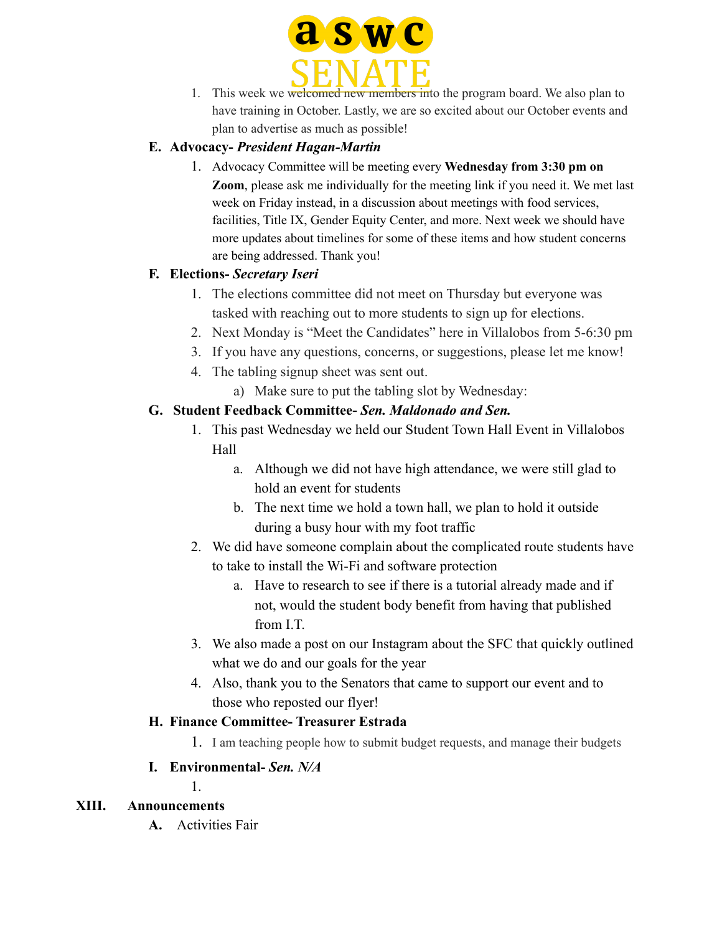

1. This week we welcomed new members into the program board. We also plan to have training in October. Lastly, we are so excited about our October events and plan to advertise as much as possible!

### **E. Advocacy-** *President Hagan-Martin*

1. Advocacy Committee will be meeting every **Wednesday from 3:30 pm on Zoom**, please ask me individually for the meeting link if you need it. We met last week on Friday instead, in a discussion about meetings with food services, facilities, Title IX, Gender Equity Center, and more. Next week we should have more updates about timelines for some of these items and how student concerns are being addressed. Thank you!

#### **F. Elections-** *Secretary Iseri*

- 1. The elections committee did not meet on Thursday but everyone was tasked with reaching out to more students to sign up for elections.
- 2. Next Monday is "Meet the Candidates" here in Villalobos from 5-6:30 pm
- 3. If you have any questions, concerns, or suggestions, please let me know!
- 4. The tabling signup sheet was sent out.
	- a) Make sure to put the tabling slot by Wednesday:

#### **G. Student Feedback Committee-** *Sen. Maldonado and Sen.*

- 1. This past Wednesday we held our Student Town Hall Event in Villalobos Hall
	- a. Although we did not have high attendance, we were still glad to hold an event for students
	- b. The next time we hold a town hall, we plan to hold it outside during a busy hour with my foot traffic
- 2. We did have someone complain about the complicated route students have to take to install the Wi-Fi and software protection
	- a. Have to research to see if there is a tutorial already made and if not, would the student body benefit from having that published from I.T.
- 3. We also made a post on our Instagram about the SFC that quickly outlined what we do and our goals for the year
- 4. Also, thank you to the Senators that came to support our event and to those who reposted our flyer!

#### **H. Finance Committee- Treasurer Estrada**

1. I am teaching people how to submit budget requests, and manage their budgets

### **I. Environmental-** *Sen. N/A*

1.

### **XIII. Announcements**

**A.** Activities Fair